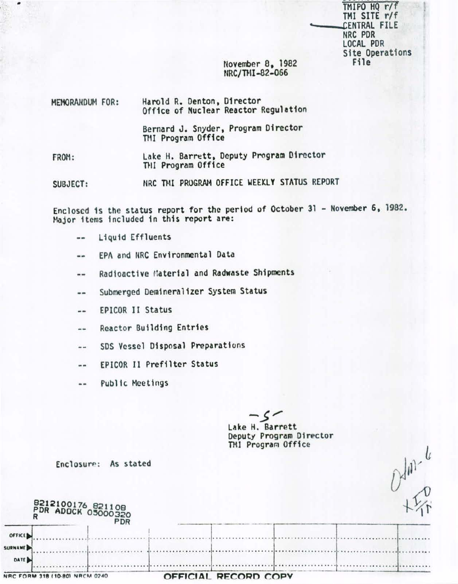TMIPO HQ r/f TMI SITE r/f CENTRAL FILE NRC PDR LOCAL PDR Site Operations File

 $D$ dm.  $\frac{1}{2}$ 

November 8, 1982 NRC/THI-82-066

| MEMORANDUM FOR: | Harold R. Denton, Director<br>Office of Nuclear Reactor Regulation |
|-----------------|--------------------------------------------------------------------|
|                 | Bernard J. Snyder, Program Director<br>TMI Program Office          |
| FROM:           | Lake H. Barrett, Deputy Program Director<br>THI Program Office     |

NRC TMI PROGRAM OFFICE WEEKLY STATUS REPORT SUBJECT:

Enclosed is the status report for the period of October 31 - November 6, 1982. Major items included in this report are:

- Liquid Effluents --
- EPA and NRC Environmental Data  $\frac{1}{2}$
- Radioactive Material and Radwaste Shipments  $\frac{1}{2}$
- Submerged Demineralizer System Status  $-1$
- **EPICOR II Status**  $- -$
- Reactor Building Entries --
- SDS Vessel Disposal Preparations  $\rightarrow$
- EPICOR II Prefilter Status  $-1$
- Public Meetings  $-1$

 $\sim$   $\sim$ 

Lake H. Barrett Deputy Program Director TMI Program Office

| Enclosure: | As stated |  |
|------------|-----------|--|
|------------|-----------|--|

|                          |                                | 8212100176 821108<br>PDR ADDCK 05000320<br>PDR |                      |  |  |
|--------------------------|--------------------------------|------------------------------------------------|----------------------|--|--|
| OFFICE<br><b>SURNAME</b> |                                |                                                |                      |  |  |
| DATE                     |                                |                                                |                      |  |  |
|                          | NRC FORM 318 (10-80) NRCM 0240 |                                                | OFFICIAL RECORD COPY |  |  |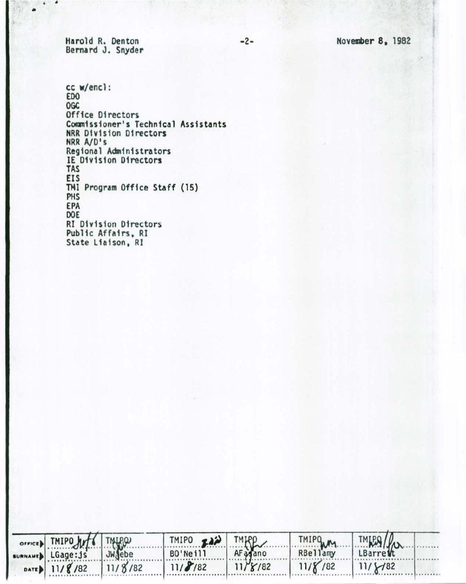-2- November 8, 1982

Harold R. Denton Bernard J. Snyder

 $\cdot$   $\cdot$   $\cdot$ 

cc w/encl : EDO OGC Office Directors Commissioner's Technical Assistants HRR D1v1s1on Directors NRR A/D's Regional Administrators IE D1v1s1on Directors TAS EIS THl Prog ram Off1ce Staff (15} PHS EPA DOE RI D1v1s 1on Directors Public Affairs, RI State Liaison, RI

| SUNNAMED LGage: Js JWJebe | TMIPO FAN TMKP |                     |                 | TMIPO TMIRA    |  |
|---------------------------|----------------|---------------------|-----------------|----------------|--|
|                           | BO'Neill       | AF <sub>agano</sub> |                 |                |  |
| DATE 11/8/82 11/8/82      | 11/8/82        | $11/\frac{8}{182}$  | $11/\gamma$ /82 | $11/\sqrt{82}$ |  |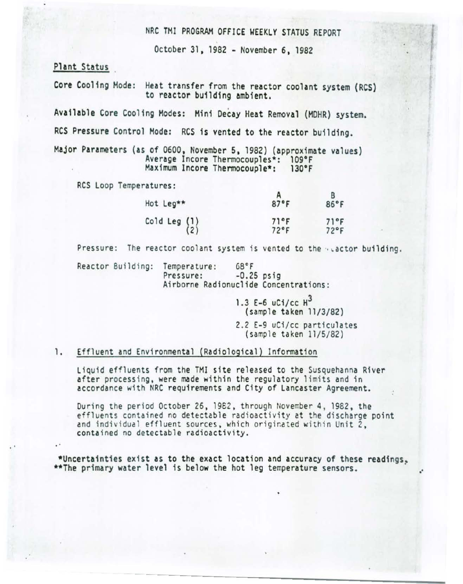NRC TMI PROGRAM OFFICE WEEKLY STATUS REPORT

October 31, 1982 - November 6, 1982

Plant Status

Core Cooling Mode: Heat transfer from the reactor coolant system (RCS) to reactor building ambient.

Available Core Cooling Modes: Mini Decay Heat Removal (MDHR) system.

RCS Pressure Control Mode: RCS is vented to the reactor building.

Major Parameters (as of 0600, November 5, 1982) (approximate values) Average Incore Thermocouples\*: 109°F Maximum Incore Thermocouple\*:  $130^{\circ}$ F

RCS Loop Temperatures:

| Hot Leg**                                       | 87°F                                  | $86^{\circ}$ F |
|-------------------------------------------------|---------------------------------------|----------------|
| Cold Leg $\begin{pmatrix} 1 \\ 2 \end{pmatrix}$ | $71$ <sup>o</sup> F<br>$72^{\circ}$ F | 71°F<br>72°F   |

Pressure: The reactor coolant system is vented to the actor building.

Reactor Building:  $68°F$ Temperature: Pressure:  $-0.25$  psig Airborne Radionuclide Concentrations:

> 1.3 E-6  $uC1/ccH^3$ (sample taken 11/3/82) 2.2 E-9 uCi/cc particulates

(sample taken 11/5/82)

## 1. Effluent and Environmental (Radiological) Information

Liquid effluents from the TMI site released to the Susquehanna River after processing, were made within the regulatory limits and in accordance with NRC requirements and City of Lancaster Agreement.

During the period October 26, 1982, through November 4, 1982, the effluents contained no detectable radioactivity at the discharge point and individual effluent sources, which originated within Unit 2, contained no detectable radioactivity.

\*Uncertainties exist as to the exact location and accuracy of these readings. \*\* The primary water level is below the hot leg temperature sensors.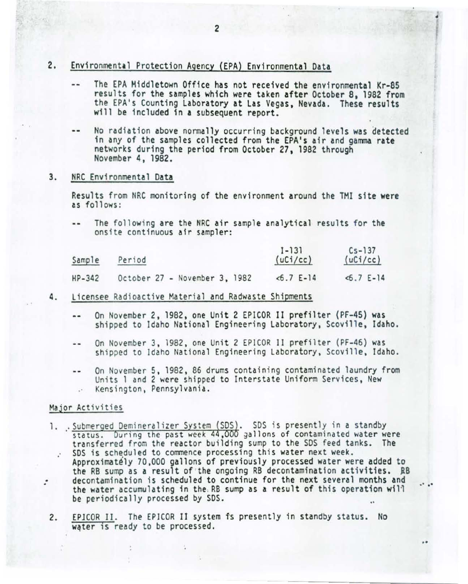- $2.$ Environmental Protection Agency (EPA) Environmental Data
	- The EPA Middletown Office has not received the environmental Kr-85  $-1$ results for the samples which were taken after October 8, 1982 from the EPA's Counting Laboratory at Las Vegas, Nevada. These results will be included in a subsequent report.
	- No radiation above normally occurring background levels was detected -in any of the samples collected from the EPA's air and gamma rate networks during the period from October 27, 1982 through November 4, 1982.
- $3.$ NRC Environmental Data

Results from NRC monitoring of the environment around the TMI site were as follows:

The following are the NRC air sample analytical results for the  $-1$ onsite continuous air sampler:

| Sample   | Period                        |  |  |  |  | $1 - 131$<br>(uCi/cc) |            | $Cs - 137$<br>(uCi/cc) |  |
|----------|-------------------------------|--|--|--|--|-----------------------|------------|------------------------|--|
| $HP-342$ | October 27 - November 3, 1982 |  |  |  |  |                       | $5.7$ E-14 | $< 6.7 E-14$           |  |

- 4. Licensee Radioactive Material and Radwaste Shipments
	- On November 2, 1982, one Unit 2 EPICOR II prefilter (PF-45) was  $-$ shipped to Idaho National Engineering Laboratory, Scoville, Idaho.
	- On November 3, 1982, one Unit 2 EPICOR II prefilter (PF-46) was  $-$ shipped to Idaho National Engineering Laboratory, Scoville, Idaho.
	- On November 5, 1982, 86 drums containing contaminated laundry from  $- -$ Units 1 and 2 were shipped to Interstate Uniform Services, New Kensington, Pennsylvania.

## Major Activities

- 1. .Submerged Demineralizer System (SDS). SDS is presently in a standby<br>status. During the past week 44,000 gallons of contaminated water were transferred from the reactor building sump to the SDS feed tanks. The SDS is scheduled to commence processing this water next week.  $\mathcal{L}$ Approximately 70,000 gallons of previously processed water were added to the RB sump as a result of the ongoing RB decontamination activities. RB decontamination is scheduled to continue for the next several months and ÷ the water accumulating in the RB sump as a result of this operation will be periodically processed by SDS.
	- EPICOR II. The EPICOR II system is presently in standby status. No 2. water is ready to be processed.

..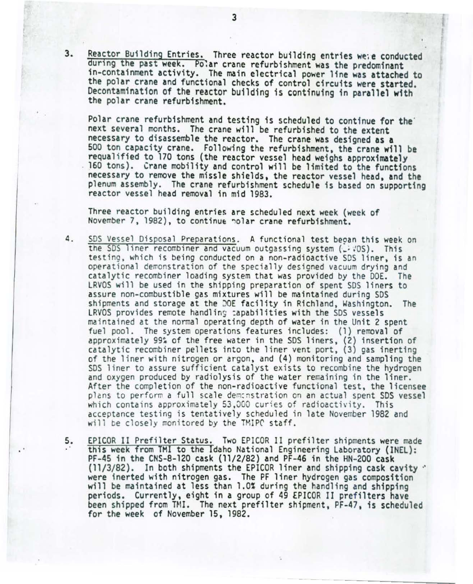3. Reactor Building Entries. Three reactor building entries wete conducted during the past week. Polar crane refurbishment was the predominant in-containment activity. The main electrical power line was attached to the polar crane and functional checks of control circuits were started. Decontamination of the reactor building is continuing in parallel with the polar crane refurbishment.

Polar crane refurbishment and testing is scheduled to continue for the next several months. The crane will be refurbished to the extent necessary to disassemble the reactor. The crane was designed as a 500 ton capacity crane. Following the refurbishment, the crane will be requalified to 170 tons (the reactor vessel head weighs approximately 160 tons). Crane mobility and control will be limited to the functions necessary to remove the missle shields. the reactor vessel head. and the plenum assembly. The crane refurbishment schedule is based on supporting reactor vessel head removal in mid 1983.

Three reactor building entries are scheduled next week (week of November 7, 1982) , to continue ~o lar crane refurbishment.

- 4. SDS Vessel Disposal Preparations. A functional test beoan this week on the SDS liner recombiner and vacuum outgassing system (.: : OS). This testing, which is being conducted on a non-radioactive SDS liner, is an operational demonstration of the specially designed vacuum drying and catalytic recombiner loading system that was provided by the DOE. The LRVOS will be used in the shipping preparation of spent SDS liners to assure non-combustible gas mi xtures will be maintained during SDS shipments and storage at the DOE facility in Richland, Washington. The LRVOS provides remote handling capabilities with the SDS vessels ma in tained at the normal operating depth of water in the Unit 2 spent fuel pool. The system operations features includes: (1) removal of approximately 99% of the free water in the SDS liners, (2) insertion of catalytic recombiner pellets into the liner vent port, (3) gas inerting of the liner with nitrogen or argon, and (4) monitoring and sampling the SDS liner to assure sufficient catalyst exists to recombine the hydrogen and oxygen produced by radiolysis of the water remaining in the liner. After the completion of the non-radioactive functional test, the licensee plans to perform a full scale dem: nstration on an actual spent SDS vessel which contains approximately 53,000 curies of radioactivity. This acceptance testing is tentatively scheduled in late November 1982 and will be closely monitored by the TMIPC staff.
- 5. EPICOR II Prefilter Status. Two EPICOR II prefilter shipments were made this week from TMI to the Idaho National Engineering Laboratory (INEL): PF-45 in the CNS-8-120 cask (11/2/82) and PF-46 in the HN-200 cask (11/3/82). In both shipments the EPICOR liner and shipping cask cavity  $\cdot$  were inerted with nitrogen gas. The PF liner hydrogen gas composition will be maintained at less than 1.0% during the handling and shipping periods. Currently, eight in a group of 4g EPICOR II prefilters have been shipped from TMI. The next prefilter shipment, PF-47, is scheduled for the week of November 15, 1982.